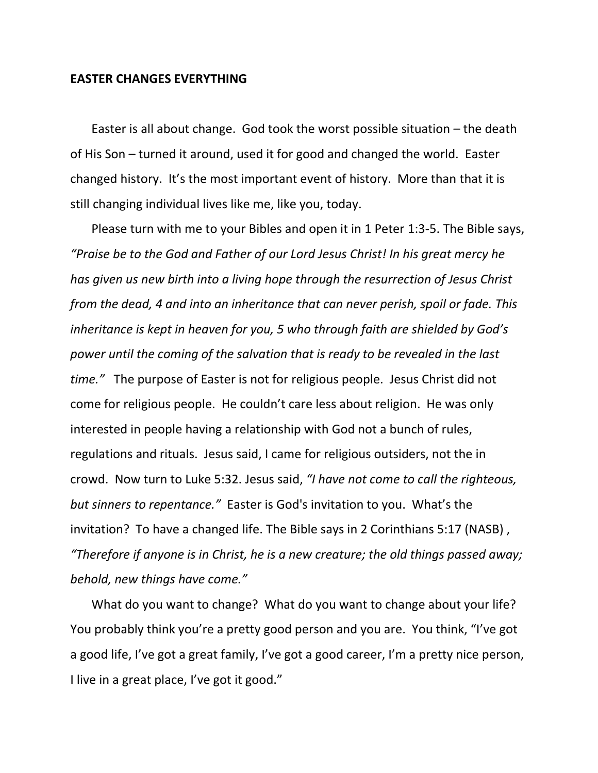### **EASTER CHANGES EVERYTHING**

Easter is all about change. God took the worst possible situation – the death of His Son – turned it around, used it for good and changed the world. Easter changed history. It's the most important event of history. More than that it is still changing individual lives like me, like you, today.

Please turn with me to your Bibles and open it in 1 Peter 1:3-5. The Bible says, *"Praise be to the God and Father of our Lord Jesus Christ! In his great mercy he has given us new birth into a living hope through the resurrection of Jesus Christ from the dead, 4 and into an inheritance that can never perish, spoil or fade. This inheritance is kept in heaven for you, 5 who through faith are shielded by God's power until the coming of the salvation that is ready to be revealed in the last time."* The purpose of Easter is not for religious people. Jesus Christ did not come for religious people. He couldn't care less about religion. He was only interested in people having a relationship with God not a bunch of rules, regulations and rituals. Jesus said, I came for religious outsiders, not the in crowd. Now turn to Luke 5:32. Jesus said, *"I have not come to call the righteous, but sinners to repentance."* Easter is God's invitation to you. What's the invitation? To have a changed life. The Bible says in 2 Corinthians 5:17 (NASB) , *"Therefore if anyone is in Christ, he is a new creature; the old things passed away; behold, new things have come."*

What do you want to change? What do you want to change about your life? You probably think you're a pretty good person and you are. You think, "I've got a good life, I've got a great family, I've got a good career, I'm a pretty nice person, I live in a great place, I've got it good."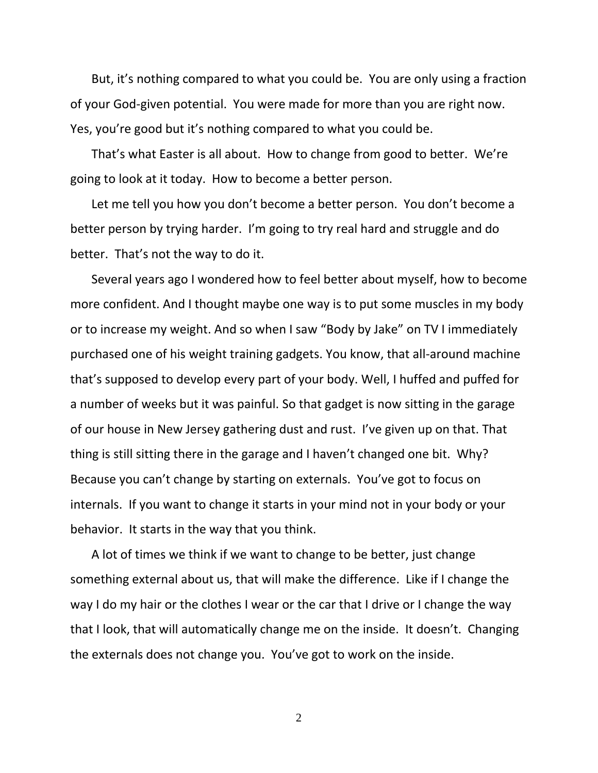But, it's nothing compared to what you could be. You are only using a fraction of your God-given potential. You were made for more than you are right now. Yes, you're good but it's nothing compared to what you could be.

That's what Easter is all about. How to change from good to better. We're going to look at it today. How to become a better person.

Let me tell you how you don't become a better person. You don't become a better person by trying harder. I'm going to try real hard and struggle and do better. That's not the way to do it.

Several years ago I wondered how to feel better about myself, how to become more confident. And I thought maybe one way is to put some muscles in my body or to increase my weight. And so when I saw "Body by Jake" on TV I immediately purchased one of his weight training gadgets. You know, that all-around machine that's supposed to develop every part of your body. Well, I huffed and puffed for a number of weeks but it was painful. So that gadget is now sitting in the garage of our house in New Jersey gathering dust and rust. I've given up on that. That thing is still sitting there in the garage and I haven't changed one bit. Why? Because you can't change by starting on externals. You've got to focus on internals. If you want to change it starts in your mind not in your body or your behavior. It starts in the way that you think.

A lot of times we think if we want to change to be better, just change something external about us, that will make the difference. Like if I change the way I do my hair or the clothes I wear or the car that I drive or I change the way that I look, that will automatically change me on the inside. It doesn't. Changing the externals does not change you. You've got to work on the inside.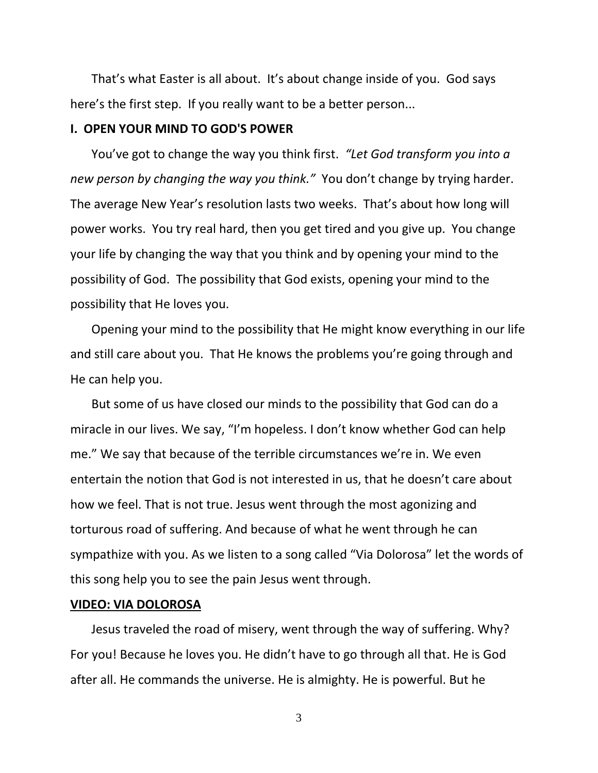That's what Easter is all about. It's about change inside of you. God says here's the first step. If you really want to be a better person...

# **I. OPEN YOUR MIND TO GOD'S POWER**

You've got to change the way you think first. *"Let God transform you into a new person by changing the way you think."* You don't change by trying harder. The average New Year's resolution lasts two weeks. That's about how long will power works. You try real hard, then you get tired and you give up. You change your life by changing the way that you think and by opening your mind to the possibility of God. The possibility that God exists, opening your mind to the possibility that He loves you.

Opening your mind to the possibility that He might know everything in our life and still care about you. That He knows the problems you're going through and He can help you.

But some of us have closed our minds to the possibility that God can do a miracle in our lives. We say, "I'm hopeless. I don't know whether God can help me." We say that because of the terrible circumstances we're in. We even entertain the notion that God is not interested in us, that he doesn't care about how we feel. That is not true. Jesus went through the most agonizing and torturous road of suffering. And because of what he went through he can sympathize with you. As we listen to a song called "Via Dolorosa" let the words of this song help you to see the pain Jesus went through.

## **VIDEO: VIA DOLOROSA**

Jesus traveled the road of misery, went through the way of suffering. Why? For you! Because he loves you. He didn't have to go through all that. He is God after all. He commands the universe. He is almighty. He is powerful. But he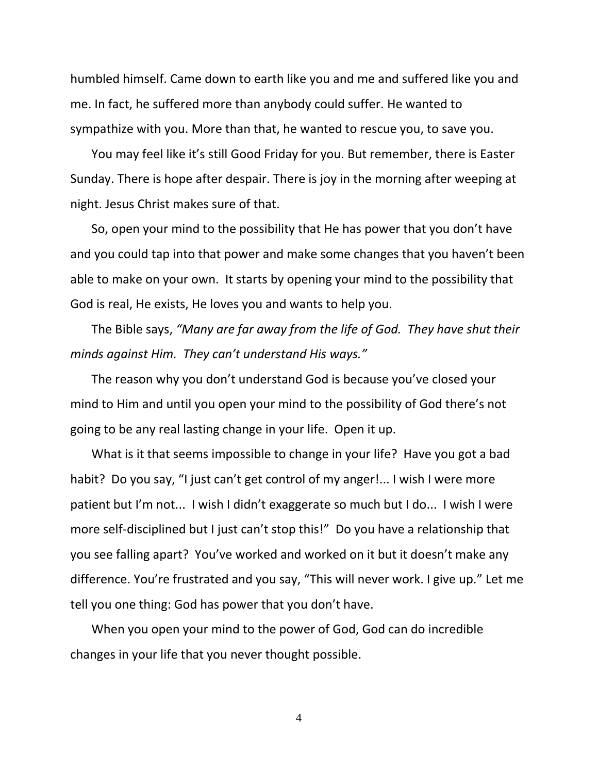humbled himself. Came down to earth like you and me and suffered like you and me. In fact, he suffered more than anybody could suffer. He wanted to sympathize with you. More than that, he wanted to rescue you, to save you.

You may feel like it's still Good Friday for you. But remember, there is Easter Sunday. There is hope after despair. There is joy in the morning after weeping at night. Jesus Christ makes sure of that.

So, open your mind to the possibility that He has power that you don't have and you could tap into that power and make some changes that you haven't been able to make on your own. It starts by opening your mind to the possibility that God is real, He exists, He loves you and wants to help you.

The Bible says, *"Many are far away from the life of God. They have shut their minds against Him. They can't understand His ways."* 

The reason why you don't understand God is because you've closed your mind to Him and until you open your mind to the possibility of God there's not going to be any real lasting change in your life. Open it up.

What is it that seems impossible to change in your life? Have you got a bad habit? Do you say, "I just can't get control of my anger!... I wish I were more patient but I'm not... I wish I didn't exaggerate so much but I do... I wish I were more self-disciplined but I just can't stop this!" Do you have a relationship that you see falling apart? You've worked and worked on it but it doesn't make any difference. You're frustrated and you say, "This will never work. I give up." Let me tell you one thing: God has power that you don't have.

When you open your mind to the power of God, God can do incredible changes in your life that you never thought possible.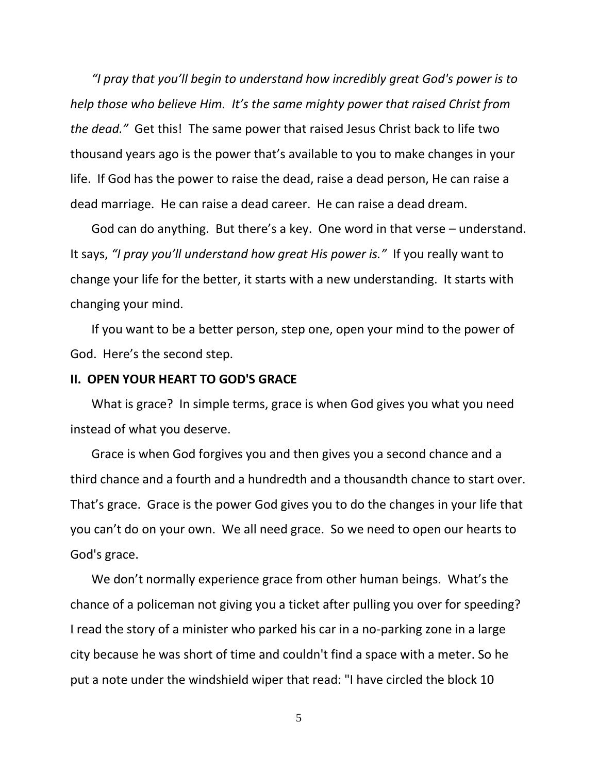*"I pray that you'll begin to understand how incredibly great God's power is to help those who believe Him. It's the same mighty power that raised Christ from the dead."* Get this! The same power that raised Jesus Christ back to life two thousand years ago is the power that's available to you to make changes in your life. If God has the power to raise the dead, raise a dead person, He can raise a dead marriage. He can raise a dead career. He can raise a dead dream.

God can do anything. But there's a key. One word in that verse – understand. It says, *"I pray you'll understand how great His power is."* If you really want to change your life for the better, it starts with a new understanding. It starts with changing your mind.

If you want to be a better person, step one, open your mind to the power of God. Here's the second step.

### **II. OPEN YOUR HEART TO GOD'S GRACE**

What is grace? In simple terms, grace is when God gives you what you need instead of what you deserve.

Grace is when God forgives you and then gives you a second chance and a third chance and a fourth and a hundredth and a thousandth chance to start over. That's grace. Grace is the power God gives you to do the changes in your life that you can't do on your own. We all need grace. So we need to open our hearts to God's grace.

We don't normally experience grace from other human beings. What's the chance of a policeman not giving you a ticket after pulling you over for speeding? I read the story of a minister who parked his car in a no-parking zone in a large city because he was short of time and couldn't find a space with a meter. So he put a note under the windshield wiper that read: "I have circled the block 10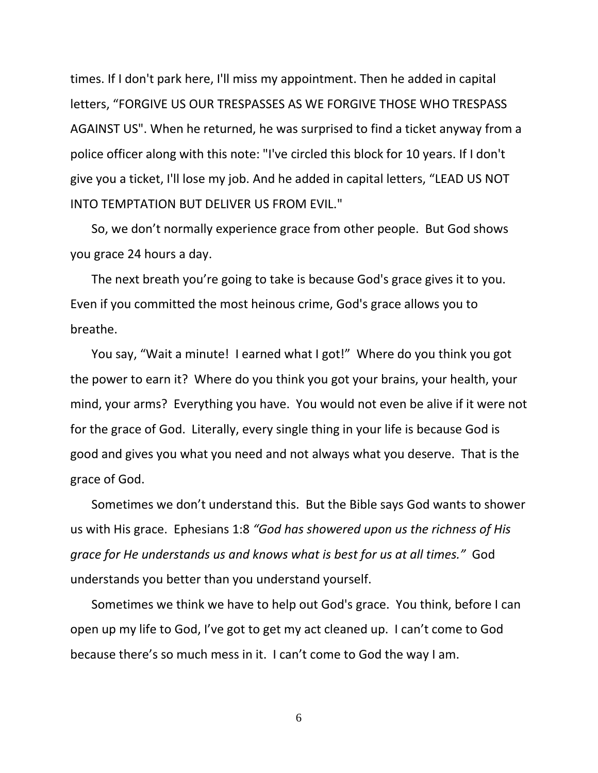times. If I don't park here, I'll miss my appointment. Then he added in capital letters, "FORGIVE US OUR TRESPASSES AS WE FORGIVE THOSE WHO TRESPASS AGAINST US". When he returned, he was surprised to find a ticket anyway from a police officer along with this note: "I've circled this block for 10 years. If I don't give you a ticket, I'll lose my job. And he added in capital letters, "LEAD US NOT INTO TEMPTATION BUT DELIVER US FROM EVIL."

So, we don't normally experience grace from other people. But God shows you grace 24 hours a day.

The next breath you're going to take is because God's grace gives it to you. Even if you committed the most heinous crime, God's grace allows you to breathe.

You say, "Wait a minute! I earned what I got!" Where do you think you got the power to earn it? Where do you think you got your brains, your health, your mind, your arms? Everything you have. You would not even be alive if it were not for the grace of God. Literally, every single thing in your life is because God is good and gives you what you need and not always what you deserve. That is the grace of God.

Sometimes we don't understand this. But the Bible says God wants to shower us with His grace. Ephesians 1:8 *"God has showered upon us the richness of His grace for He understands us and knows what is best for us at all times."* God understands you better than you understand yourself.

Sometimes we think we have to help out God's grace. You think, before I can open up my life to God, I've got to get my act cleaned up. I can't come to God because there's so much mess in it. I can't come to God the way I am.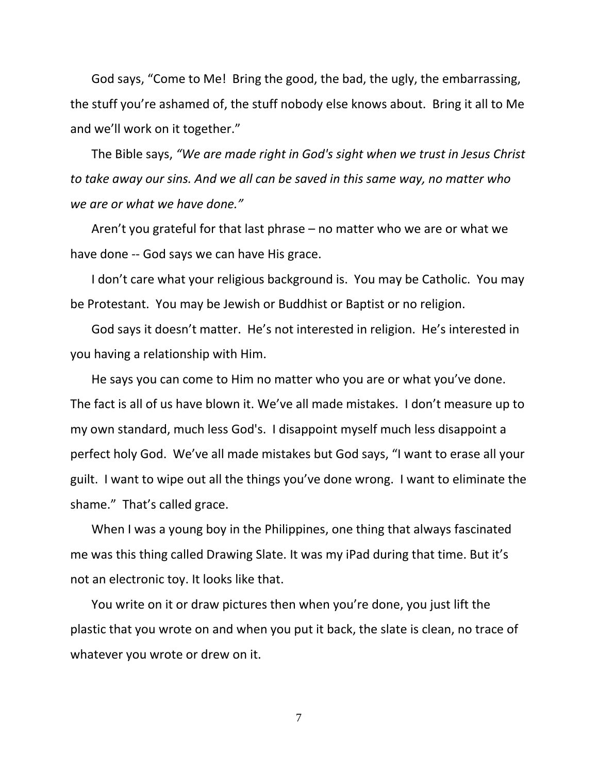God says, "Come to Me! Bring the good, the bad, the ugly, the embarrassing, the stuff you're ashamed of, the stuff nobody else knows about. Bring it all to Me and we'll work on it together."

The Bible says, *"We are made right in God's sight when we trust in Jesus Christ to take away our sins. And we all can be saved in this same way, no matter who we are or what we have done."* 

Aren't you grateful for that last phrase – no matter who we are or what we have done -- God says we can have His grace.

I don't care what your religious background is. You may be Catholic. You may be Protestant. You may be Jewish or Buddhist or Baptist or no religion.

God says it doesn't matter. He's not interested in religion. He's interested in you having a relationship with Him.

He says you can come to Him no matter who you are or what you've done. The fact is all of us have blown it. We've all made mistakes. I don't measure up to my own standard, much less God's. I disappoint myself much less disappoint a perfect holy God. We've all made mistakes but God says, "I want to erase all your guilt. I want to wipe out all the things you've done wrong. I want to eliminate the shame." That's called grace.

When I was a young boy in the Philippines, one thing that always fascinated me was this thing called Drawing Slate. It was my iPad during that time. But it's not an electronic toy. It looks like that.

You write on it or draw pictures then when you're done, you just lift the plastic that you wrote on and when you put it back, the slate is clean, no trace of whatever you wrote or drew on it.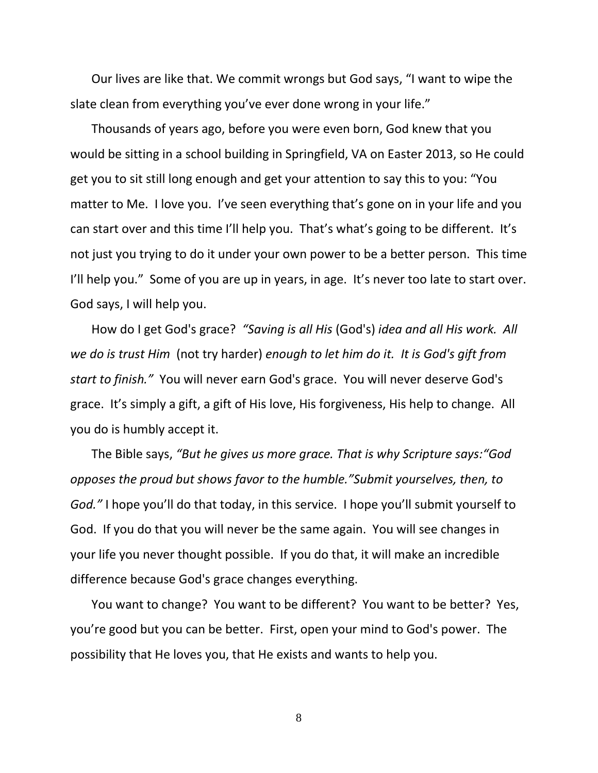Our lives are like that. We commit wrongs but God says, "I want to wipe the slate clean from everything you've ever done wrong in your life."

Thousands of years ago, before you were even born, God knew that you would be sitting in a school building in Springfield, VA on Easter 2013, so He could get you to sit still long enough and get your attention to say this to you: "You matter to Me. I love you. I've seen everything that's gone on in your life and you can start over and this time I'll help you. That's what's going to be different. It's not just you trying to do it under your own power to be a better person. This time I'll help you." Some of you are up in years, in age. It's never too late to start over. God says, I will help you.

How do I get God's grace? *"Saving is all His* (God's) *idea and all His work. All we do is trust Him* (not try harder) *enough to let him do it. It is God's gift from start to finish."* You will never earn God's grace. You will never deserve God's grace. It's simply a gift, a gift of His love, His forgiveness, His help to change. All you do is humbly accept it.

The Bible says, *"But he gives us more grace. That is why Scripture says:"God opposes the proud but shows favor to the humble."Submit yourselves, then, to God."* I hope you'll do that today, in this service. I hope you'll submit yourself to God. If you do that you will never be the same again. You will see changes in your life you never thought possible. If you do that, it will make an incredible difference because God's grace changes everything.

You want to change? You want to be different? You want to be better? Yes, you're good but you can be better. First, open your mind to God's power. The possibility that He loves you, that He exists and wants to help you.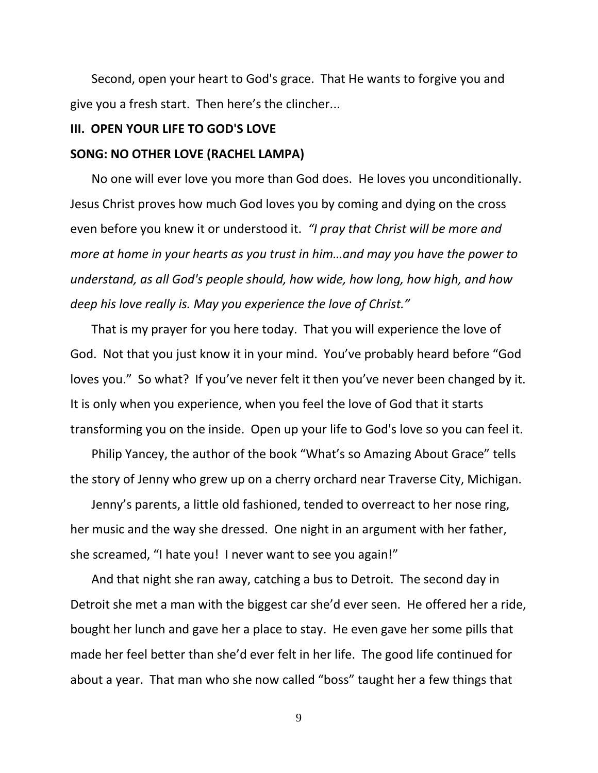Second, open your heart to God's grace. That He wants to forgive you and give you a fresh start. Then here's the clincher...

# **III. OPEN YOUR LIFE TO GOD'S LOVE**

### **SONG: NO OTHER LOVE (RACHEL LAMPA)**

No one will ever love you more than God does. He loves you unconditionally. Jesus Christ proves how much God loves you by coming and dying on the cross even before you knew it or understood it. *"I pray that Christ will be more and more at home in your hearts as you trust in him…and may you have the power to understand, as all God's people should, how wide, how long, how high, and how deep his love really is. May you experience the love of Christ."*

That is my prayer for you here today. That you will experience the love of God. Not that you just know it in your mind. You've probably heard before "God loves you." So what? If you've never felt it then you've never been changed by it. It is only when you experience, when you feel the love of God that it starts transforming you on the inside. Open up your life to God's love so you can feel it.

Philip Yancey, the author of the book "What's so Amazing About Grace" tells the story of Jenny who grew up on a cherry orchard near Traverse City, Michigan.

Jenny's parents, a little old fashioned, tended to overreact to her nose ring, her music and the way she dressed. One night in an argument with her father, she screamed, "I hate you! I never want to see you again!"

And that night she ran away, catching a bus to Detroit. The second day in Detroit she met a man with the biggest car she'd ever seen. He offered her a ride, bought her lunch and gave her a place to stay. He even gave her some pills that made her feel better than she'd ever felt in her life. The good life continued for about a year. That man who she now called "boss" taught her a few things that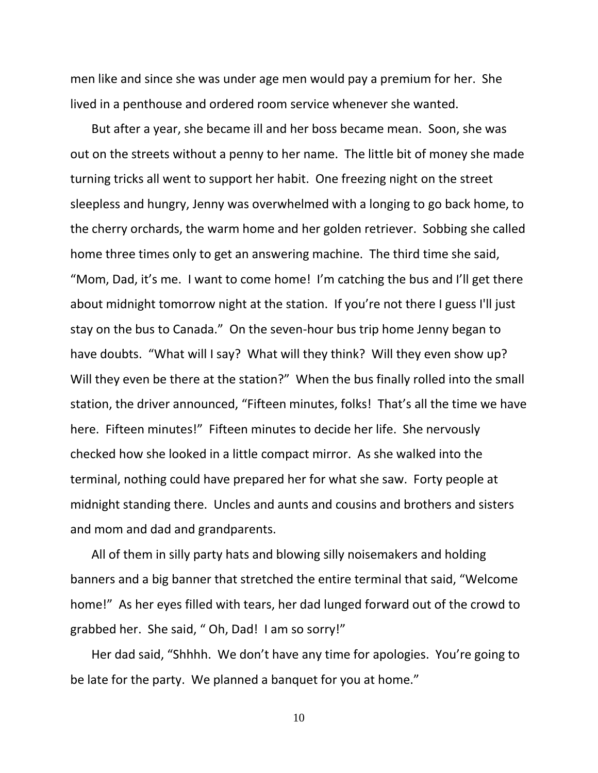men like and since she was under age men would pay a premium for her. She lived in a penthouse and ordered room service whenever she wanted.

But after a year, she became ill and her boss became mean. Soon, she was out on the streets without a penny to her name. The little bit of money she made turning tricks all went to support her habit. One freezing night on the street sleepless and hungry, Jenny was overwhelmed with a longing to go back home, to the cherry orchards, the warm home and her golden retriever. Sobbing she called home three times only to get an answering machine. The third time she said, "Mom, Dad, it's me. I want to come home! I'm catching the bus and I'll get there about midnight tomorrow night at the station. If you're not there I guess I'll just stay on the bus to Canada." On the seven-hour bus trip home Jenny began to have doubts. "What will I say? What will they think? Will they even show up? Will they even be there at the station?" When the bus finally rolled into the small station, the driver announced, "Fifteen minutes, folks! That's all the time we have here. Fifteen minutes!" Fifteen minutes to decide her life. She nervously checked how she looked in a little compact mirror. As she walked into the terminal, nothing could have prepared her for what she saw. Forty people at midnight standing there. Uncles and aunts and cousins and brothers and sisters and mom and dad and grandparents.

All of them in silly party hats and blowing silly noisemakers and holding banners and a big banner that stretched the entire terminal that said, "Welcome home!" As her eyes filled with tears, her dad lunged forward out of the crowd to grabbed her. She said, " Oh, Dad! I am so sorry!"

Her dad said, "Shhhh. We don't have any time for apologies. You're going to be late for the party. We planned a banquet for you at home."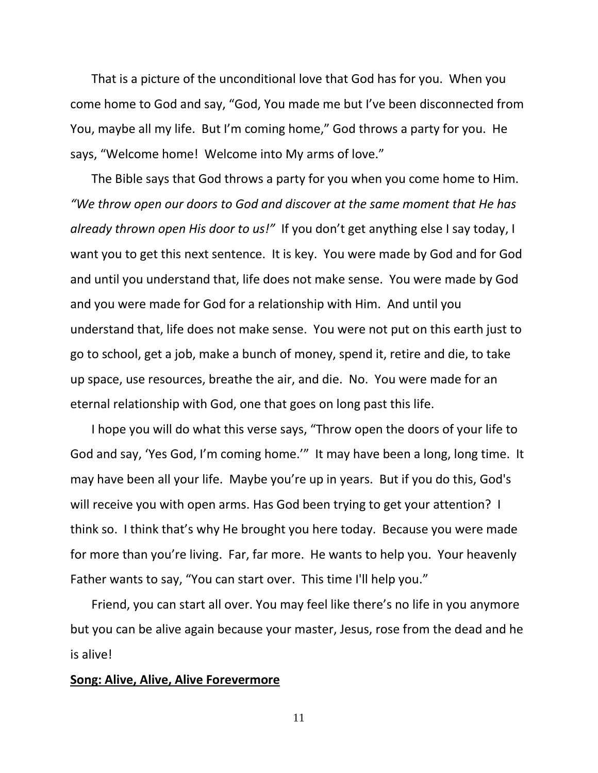That is a picture of the unconditional love that God has for you. When you come home to God and say, "God, You made me but I've been disconnected from You, maybe all my life. But I'm coming home," God throws a party for you. He says, "Welcome home! Welcome into My arms of love."

The Bible says that God throws a party for you when you come home to Him. *"We throw open our doors to God and discover at the same moment that He has already thrown open His door to us!"* If you don't get anything else I say today, I want you to get this next sentence. It is key. You were made by God and for God and until you understand that, life does not make sense. You were made by God and you were made for God for a relationship with Him. And until you understand that, life does not make sense. You were not put on this earth just to go to school, get a job, make a bunch of money, spend it, retire and die, to take up space, use resources, breathe the air, and die. No. You were made for an eternal relationship with God, one that goes on long past this life.

I hope you will do what this verse says, "Throw open the doors of your life to God and say, 'Yes God, I'm coming home.'" It may have been a long, long time. It may have been all your life. Maybe you're up in years. But if you do this, God's will receive you with open arms. Has God been trying to get your attention? I think so. I think that's why He brought you here today. Because you were made for more than you're living. Far, far more. He wants to help you. Your heavenly Father wants to say, "You can start over. This time I'll help you."

Friend, you can start all over. You may feel like there's no life in you anymore but you can be alive again because your master, Jesus, rose from the dead and he is alive!

## **Song: Alive, Alive, Alive Forevermore**